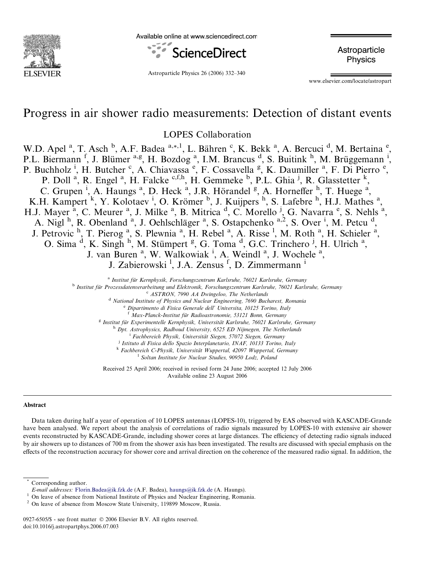

Available online at www.sciencedirect.com



Astroparticle Physics

Astroparticle Physics 26 (2006) 332–340

www.elsevier.com/locate/astropart

# Progress in air shower radio measurements: Detection of distant events

LOPES Collaboration

W.D. Apel<sup>a</sup>, T. Asch<sup>b</sup>, A.F. Badea<sup>a,\*,1</sup>, L. Bähren <sup>c</sup>, K. Bekk<sup>a</sup>, A. Bercuci<sup>d</sup>, M. Bertaina<sup>e</sup>, P.L. Biermann <sup>f</sup>, J. Blümer <sup>a,g</sup>, H. Bozdog <sup>a</sup>, I.M. Brancus <sup>d</sup>, S. Buitink <sup>h</sup>, M. Brüggemann <sup>i</sup>, P. Buchholz<sup>i</sup>, H. Butcher<sup>c</sup>, A. Chiavassa<sup>e</sup>, F. Cossavella<sup>g</sup>, K. Daumiller<sup>a</sup>, F. Di Pierro<sup>e</sup>, P. Doll<sup>a</sup>, R. Engel<sup>a</sup>, H. Falcke <sup>c,f,h</sup>, H. Gemmeke <sup>b</sup>, P.L. Ghia<sup>j</sup>, R. Glasstetter <sup>k</sup>, C. Grupen<sup>i</sup>, A. Haungs<sup>a</sup>, D. Heck<sup>a</sup>, J.R. Hörandel<sup>g</sup>, A. Horneffer<sup>h</sup>, T. Huege<sup>a</sup>, K.H. Kampert <sup>k</sup>, Y. Kolotaev<sup>i</sup>, O. Krömer <sup>b</sup>, J. Kuijpers <sup>h</sup>, S. Lafebre <sup>h</sup>, H.J. Mathes <sup>a</sup>, H.J. Mayer<sup>a</sup>, C. Meurer<sup>a</sup>, J. Milke<sup>a</sup>, B. Mitrica<sup>d</sup>, C. Morello<sup>j</sup>, G. Navarra<sup>e</sup>, S. Nehls<sup>a</sup>, A. Nigl<sup>h</sup>, R. Obenland<sup>a</sup>, J. Oehlschläger<sup>a</sup>, S. Ostapchenko<sup>a,2</sup>, S. Over<sup>i</sup>, M. Petcu<sup>d</sup>, J. Petrovic<sup>h</sup>, T. Pierog<sup>a</sup>, S. Plewnia<sup>a</sup>, H. Rebel<sup>a</sup>, A. Risse<sup>1</sup>, M. Roth<sup>a</sup>, H. Schieler<sup>a</sup>, O. Sima  $\overset{d}{\cdot}$ , K. Singh  $\overset{h}{\cdot}$ , M. Stümpert  $\overset{g}{\cdot}$ , G. Toma  $\overset{d}{\cdot}$ , G.C. Trinchero  $\overset{j}{\cdot}$ , H. Ulrich  $\overset{a}{\cdot}$ , J. van Buren<sup>a</sup>, W. Walkowiak<sup>i</sup>, A. Weindl<sup>a</sup>, J. Wochele<sup>a</sup>, J. Zabierowski<sup>1</sup>, J.A. Zensus<sup>f</sup>, D. Zimmermann<sup>i</sup> <sup>a</sup> Institut für Kernphysik, Forschungszentrum Karlsruhe, 76021 Karlsruhe, Germany<br><sup>b</sup> Institut für Prozessdatenverarbeitung und Elektronik, Forschungszentrum Karlsruhe, 76021 Karlsruhe, Germany<br><sup>c</sup> ASTRON, 7990 AA Dwinge

<sup>d</sup> National Institute of Physics and Nuclear Engineering, 7690 Bucharest, Romania

<sup>e</sup> Dipartimento di Fisica Generale dell' Universita, 10125 Torino, Italy

<sup>f</sup> Max-Planck-Institut für Radioastronomie, 53121 Bonn, Germany<br><sup>8</sup> Institut für Experimentelle Kernphysik, Universität Karlsruhe, 76021 Karlsruhe, Germany<br><sup>h</sup> Dpt. Astrophysics, Radboud University, 6525 ED Nijmegen, The

<sup>i</sup> Fachbereich Physik, Universität Siegen, 57072 Siegen, Germany

<sup>j</sup> Istituto di Fisica dello Spazio Interplanetario, INAF, 10133 Torino, Italy

k Fachbereich C-Physik, Universität Wuppertal, 42097 Wuppertal, Germany <sup>1</sup> Soltan Institute for Nuclear Studies, 90950 Lodz, Poland

Received 25 April 2006; received in revised form 24 June 2006; accepted 12 July 2006 Available online 23 August 2006

## Abstract

Data taken during half a year of operation of 10 LOPES antennas (LOPES-10), triggered by EAS observed with KASCADE-Grande have been analysed. We report about the analysis of correlations of radio signals measured by LOPES-10 with extensive air shower events reconstructed by KASCADE-Grande, including shower cores at large distances. The efficiency of detecting radio signals induced by air showers up to distances of 700 m from the shower axis has been investigated. The results are discussed with special emphasis on the effects of the reconstruction accuracy for shower core and arrival direction on the coherence of the measured radio signal. In addition, the

Corresponding author.<br>E-mail addresses: Florin.Badea@ik.fzk.de (A.F. Badea), haungs@ik.fzk.de (A. Haungs).

<sup>&</sup>lt;sup>1</sup> On leave of absence from National Institute of Physics and Nuclear Engineering, Romania.<sup>2</sup> On leave of absence from Moscow State University, 119899 Moscow, Russia.

<sup>0927-6505/\$ -</sup> see front matter © 2006 Elsevier B.V. All rights reserved. doi:10.1016/j.astropartphys.2006.07.003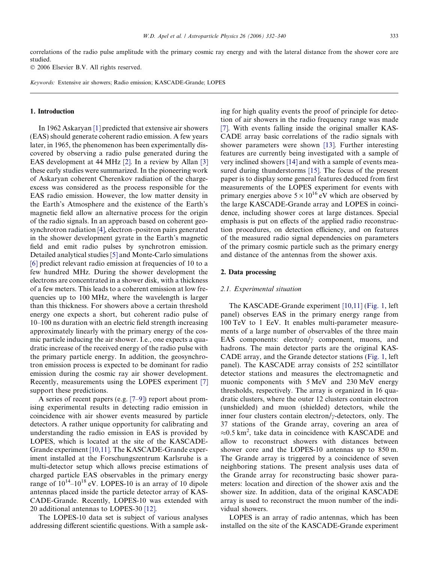correlations of the radio pulse amplitude with the primary cosmic ray energy and with the lateral distance from the shower core are studied.

© 2006 Elsevier B.V. All rights reserved.

Keywords: Extensive air showers; Radio emission; KASCADE-Grande; LOPES

# 1. Introduction

In 1962 Askaryan [\[1\]](#page-8-0) predicted that extensive air showers (EAS) should generate coherent radio emission. A few years later, in 1965, the phenomenon has been experimentally discovered by observing a radio pulse generated during the EAS development at 44 MHz [\[2\]](#page-8-0). In a review by Allan [\[3\]](#page-8-0) these early studies were summarized. In the pioneering work of Askaryan coherent Cherenkov radiation of the chargeexcess was considered as the process responsible for the EAS radio emission. However, the low matter density in the Earth's Atmosphere and the existence of the Earth's magnetic field allow an alternative process for the origin of the radio signals. In an approach based on coherent geosynchrotron radiation [\[4\],](#page-8-0) electron–positron pairs generated in the shower development gyrate in the Earth's magnetic field and emit radio pulses by synchrotron emission. Detailed analytical studies [\[5\]](#page-8-0) and Monte-Carlo simulations [\[6\]](#page-8-0) predict relevant radio emission at frequencies of 10 to a few hundred MHz. During the shower development the electrons are concentrated in a shower disk, with a thickness of a few meters. This leads to a coherent emission at low frequencies up to 100 MHz, where the wavelength is larger than this thickness. For showers above a certain threshold energy one expects a short, but coherent radio pulse of 10–100 ns duration with an electric field strength increasing approximately linearly with the primary energy of the cosmic particle inducing the air shower. I.e., one expects a quadratic increase of the received energy of the radio pulse with the primary particle energy. In addition, the geosynchrotron emission process is expected to be dominant for radio emission during the cosmic ray air shower development. Recently, measurements using the LOPES experiment [\[7\]](#page-8-0) support these predictions.

A series of recent papers (e.g. [\[7–9\]\)](#page-8-0) report about promising experimental results in detecting radio emission in coincidence with air shower events measured by particle detectors. A rather unique opportunity for calibrating and understanding the radio emission in EAS is provided by LOPES, which is located at the site of the KASCADE-Grande experiment [\[10,11\].](#page-8-0) The KASCADE-Grande experiment installed at the Forschungszentrum Karlsruhe is a multi-detector setup which allows precise estimations of charged particle EAS observables in the primary energy range of  $10^{14}$ – $10^{18}$  eV. LOPES-10 is an array of 10 dipole antennas placed inside the particle detector array of KAS-CADE-Grande. Recently, LOPES-10 was extended with 20 additional antennas to LOPES-30 [\[12\]](#page-8-0).

The LOPES-10 data set is subject of various analyses addressing different scientific questions. With a sample asking for high quality events the proof of principle for detection of air showers in the radio frequency range was made [\[7\].](#page-8-0) With events falling inside the original smaller KAS-CADE array basic correlations of the radio signals with shower parameters were shown [\[13\]](#page-8-0). Further interesting features are currently being investigated with a sample of very inclined showers [\[14\]](#page-8-0) and with a sample of events measured during thunderstorms [\[15\].](#page-8-0) The focus of the present paper is to display some general features deduced from first measurements of the LOPES experiment for events with primary energies above  $5 \times 10^{16}$  eV which are observed by the large KASCADE-Grande array and LOPES in coincidence, including shower cores at large distances. Special emphasis is put on effects of the applied radio reconstruction procedures, on detection efficiency, and on features of the measured radio signal dependencies on parameters of the primary cosmic particle such as the primary energy and distance of the antennas from the shower axis.

# 2. Data processing

#### 2.1. Experimental situation

The KASCADE-Grande experiment [\[10,11\]](#page-8-0) ([Fig. 1](#page-2-0), left panel) observes EAS in the primary energy range from 100 TeV to 1 EeV. It enables multi-parameter measurements of a large number of observables of the three main EAS components: electron/ $\gamma$  component, muons, and hadrons. The main detector parts are the original KAS-CADE array, and the Grande detector stations ([Fig. 1](#page-2-0), left panel). The KASCADE array consists of 252 scintillator detector stations and measures the electromagnetic and muonic components with 5 MeV and 230 MeV energy thresholds, respectively. The array is organized in 16 quadratic clusters, where the outer 12 clusters contain electron (unshielded) and muon (shielded) detectors, while the inner four clusters contain electron/ $\gamma$ -detectors, only. The 37 stations of the Grande array, covering an area of  $\approx$ 0.5 km<sup>2</sup>, take data in coincidence with KASCADE and allow to reconstruct showers with distances between shower core and the LOPES-10 antennas up to 850 m. The Grande array is triggered by a coincidence of seven neighboring stations. The present analysis uses data of the Grande array for reconstructing basic shower parameters: location and direction of the shower axis and the shower size. In addition, data of the original KASCADE array is used to reconstruct the muon number of the individual showers.

LOPES is an array of radio antennas, which has been installed on the site of the KASCADE-Grande experiment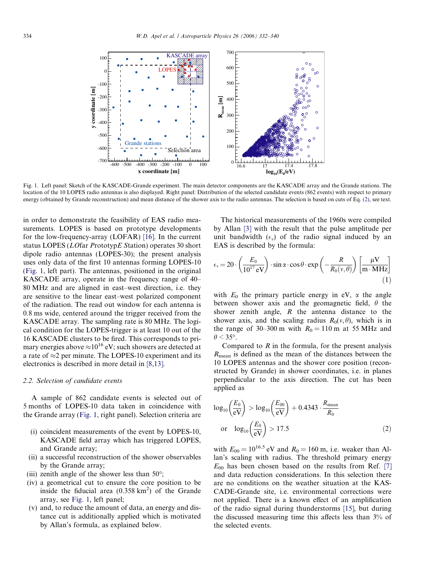<span id="page-2-0"></span>

Fig. 1. Left panel: Sketch of the KASCADE-Grande experiment. The main detector components are the KASCADE array and the Grande stations. The location of the 10 LOPES radio antennas is also displayed. Right panel: Distribution of the selected candidate events (862 events) with respect to primary energy (obtained by Grande reconstruction) and mean distance of the shower axis to the radio antennas. The selection is based on cuts of Eq. (2), see text.

in order to demonstrate the feasibility of EAS radio measurements. LOPES is based on prototype developments for the low-frequency-array (LOFAR) [\[16\]](#page-8-0). In the current status LOPES (LOfar PrototypE Station) operates 30 short dipole radio antennas (LOPES-30); the present analysis uses only data of the first 10 antennas forming LOPES-10 (Fig. 1, left part). The antennas, positioned in the original KASCADE array, operate in the frequency range of 40– 80 MHz and are aligned in east–west direction, i.e. they are sensitive to the linear east–west polarized component of the radiation. The read out window for each antenna is 0.8 ms wide, centered around the trigger received from the KASCADE array. The sampling rate is 80 MHz. The logical condition for the LOPES-trigger is at least 10 out of the 16 KASCADE clusters to be fired. This corresponds to primary energies above  $\approx$  10<sup>16</sup> eV; such showers are detected at a rate of  $\approx$ 2 per minute. The LOPES-10 experiment and its electronics is described in more detail in [\[8,13\]](#page-8-0).

#### 2.2. Selection of candidate events

A sample of 862 candidate events is selected out of 5 months of LOPES-10 data taken in coincidence with the Grande array (Fig. 1, right panel). Selection criteria are

- (i) coincident measurements of the event by LOPES-10, KASCADE field array which has triggered LOPES, and Grande array;
- (ii) a successful reconstruction of the shower observables by the Grande array;
- (iii) zenith angle of the shower less than  $50^\circ$ ;
- (iv) a geometrical cut to ensure the core position to be inside the fiducial area  $(0.358 \text{ km}^2)$  of the Grande array, see Fig. 1, left panel;
- (v) and, to reduce the amount of data, an energy and distance cut is additionally applied which is motivated by Allan's formula, as explained below.

The historical measurements of the 1960s were compiled by Allan [\[3\]](#page-8-0) with the result that the pulse amplitude per unit bandwidth  $(\epsilon_v)$  of the radio signal induced by an EAS is described by the formula:

$$
\epsilon_{v} = 20 \cdot \left(\frac{E_{0}}{10^{17} \text{ eV}}\right) \cdot \sin \alpha \cdot \cos \theta \cdot \exp\left(-\frac{R}{R_{0}(v,\theta)}\right) \left[\frac{\mu V}{m \cdot MHz}\right]
$$
\n(1)

with  $E_0$  the primary particle energy in eV,  $\alpha$  the angle between shower axis and the geomagnetic field,  $\theta$  the shower zenith angle,  $R$  the antenna distance to the shower axis, and the scaling radius  $R_0(v, \theta)$ , which is in the range of 30–300 m with  $R_0 = 110$  m at 55 MHz and  $\theta$  < 35°.

Compared to  $R$  in the formula, for the present analysis  $R_{\text{mean}}$  is defined as the mean of the distances between the 10 LOPES antennas and the shower core position (reconstructed by Grande) in shower coordinates, i.e. in planes perpendicular to the axis direction. The cut has been applied as

$$
\log_{10}\left(\frac{E_0}{\text{eV}}\right) > \log_{10}\left(\frac{E_{00}}{\text{eV}}\right) + 0.4343 \cdot \frac{R_{\text{mean}}}{R_0}
$$
\nor

\n
$$
\log_{10}\left(\frac{E_0}{\text{eV}}\right) > 17.5
$$
\n(2)

with  $E_{00} = 10^{16.5}$  eV and  $R_0 = 160$  m, i.e. weaker than Allan's scaling with radius. The threshold primary energy  $E_{00}$  has been chosen based on the results from Ref. [\[7\]](#page-8-0) and data reduction considerations. In this selection there are no conditions on the weather situation at the KAS-CADE-Grande site, i.e. environmental corrections were not applied. There is a known effect of an amplification of the radio signal during thunderstorms [\[15\],](#page-8-0) but during the discussed measuring time this affects less than 3% of the selected events.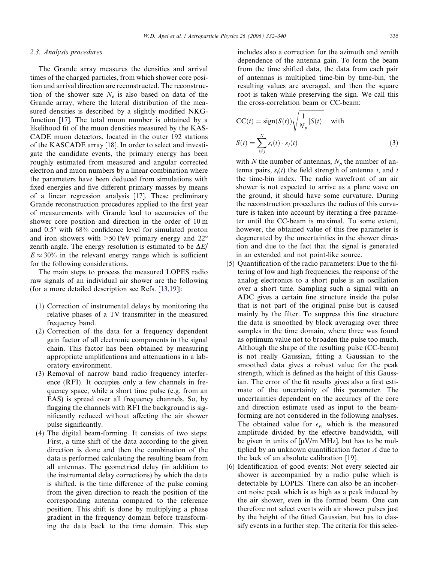## <span id="page-3-0"></span>2.3. Analysis procedures

The Grande array measures the densities and arrival times of the charged particles, from which shower core position and arrival direction are reconstructed. The reconstruction of the shower size  $N_e$  is also based on data of the Grande array, where the lateral distribution of the measured densities is described by a slightly modified NKGfunction [\[17\].](#page-8-0) The total muon number is obtained by a likelihood fit of the muon densities measured by the KAS-CADE muon detectors, located in the outer 192 stations of the KASCADE array [\[18\]](#page-8-0). In order to select and investigate the candidate events, the primary energy has been roughly estimated from measured and angular corrected electron and muon numbers by a linear combination where the parameters have been deduced from simulations with fixed energies and five different primary masses by means of a linear regression analysis [\[17\]](#page-8-0). These preliminary Grande reconstruction procedures applied to the first year of measurements with Grande lead to accuracies of the shower core position and direction in the order of 10 m and  $0.5^{\circ}$  with 68% confidence level for simulated proton and iron showers with  $>50$  PeV primary energy and  $22^{\circ}$ zenith angle. The energy resolution is estimated to be  $\Delta E/$  $E \approx 30\%$  in the relevant energy range which is sufficient for the following considerations.

The main steps to process the measured LOPES radio raw signals of an individual air shower are the following (for a more detailed description see Refs. [\[13,19\]\)](#page-8-0):

- (1) Correction of instrumental delays by monitoring the relative phases of a TV transmitter in the measured frequency band.
- (2) Correction of the data for a frequency dependent gain factor of all electronic components in the signal chain. This factor has been obtained by measuring appropriate amplifications and attenuations in a laboratory environment.
- (3) Removal of narrow band radio frequency interference (RFI). It occupies only a few channels in frequency space, while a short time pulse (e.g. from an EAS) is spread over all frequency channels. So, by flagging the channels with RFI the background is significantly reduced without affecting the air shower pulse significantly.
- (4) The digital beam-forming. It consists of two steps: First, a time shift of the data according to the given direction is done and then the combination of the data is performed calculating the resulting beam from all antennas. The geometrical delay (in addition to the instrumental delay corrections) by which the data is shifted, is the time difference of the pulse coming from the given direction to reach the position of the corresponding antenna compared to the reference position. This shift is done by multiplying a phase gradient in the frequency domain before transforming the data back to the time domain. This step

includes also a correction for the azimuth and zenith dependence of the antenna gain. To form the beam from the time shifted data, the data from each pair of antennas is multiplied time-bin by time-bin, the resulting values are averaged, and then the square root is taken while preserving the sign. We call this the cross-correlation beam or CC-beam:

$$
CC(t) = sign(S(t))\sqrt{\frac{1}{N_p}|S(t)|} with
$$
  
\n
$$
S(t) = \sum_{i \neq j}^{N} s_i(t) \cdot s_j(t)
$$
\n(3)

with N the number of antennas,  $N_p$  the number of antenna pairs,  $s_i(t)$  the field strength of antenna i, and t the time-bin index. The radio wavefront of an air shower is not expected to arrive as a plane wave on the ground, it should have some curvature. During the reconstruction procedures the radius of this curvature is taken into account by iterating a free parameter until the CC-beam is maximal. To some extent, however, the obtained value of this free parameter is degenerated by the uncertainties in the shower direction and due to the fact that the signal is generated in an extended and not point-like source.

- (5) Quantification of the radio parameters: Due to the filtering of low and high frequencies, the response of the analog electronics to a short pulse is an oscillation over a short time. Sampling such a signal with an ADC gives a certain fine structure inside the pulse that is not part of the original pulse but is caused mainly by the filter. To suppress this fine structure the data is smoothed by block averaging over three samples in the time domain, where three was found as optimum value not to broaden the pulse too much. Although the shape of the resulting pulse (CC-beam) is not really Gaussian, fitting a Gaussian to the smoothed data gives a robust value for the peak strength, which is defined as the height of this Gaussian. The error of the fit results gives also a first estimate of the uncertainty of this parameter. The uncertainties dependent on the accuracy of the core and direction estimate used as input to the beamforming are not considered in the following analyses. The obtained value for  $\epsilon_{v}$ , which is the measured amplitude divided by the effective bandwidth, will be given in units of  $\mu$ V/m MHz], but has to be multiplied by an unknown quantification factor A due to the lack of an absolute calibration [\[19\].](#page-8-0)
- (6) Identification of good events: Not every selected air shower is accompanied by a radio pulse which is detectable by LOPES. There can also be an incoherent noise peak which is as high as a peak induced by the air shower, even in the formed beam. One can therefore not select events with air shower pulses just by the height of the fitted Gaussian, but has to classify events in a further step. The criteria for this selec-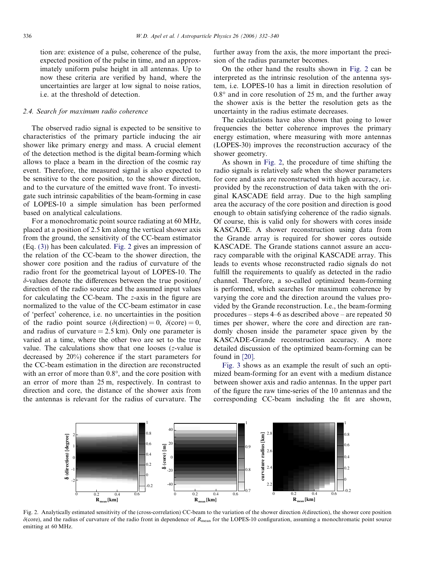tion are: existence of a pulse, coherence of the pulse, expected position of the pulse in time, and an approximately uniform pulse height in all antennas. Up to now these criteria are verified by hand, where the uncertainties are larger at low signal to noise ratios, i.e. at the threshold of detection.

# 2.4. Search for maximum radio coherence

The observed radio signal is expected to be sensitive to characteristics of the primary particle inducing the air shower like primary energy and mass. A crucial element of the detection method is the digital beam-forming which allows to place a beam in the direction of the cosmic ray event. Therefore, the measured signal is also expected to be sensitive to the core position, to the shower direction, and to the curvature of the emitted wave front. To investigate such intrinsic capabilities of the beam-forming in case of LOPES-10 a simple simulation has been performed based on analytical calculations.

For a monochromatic point source radiating at 60 MHz, placed at a position of 2.5 km along the vertical shower axis from the ground, the sensitivity of the CC-beam estimator (Eq. [\(3\)\)](#page-3-0) has been calculated. Fig. 2 gives an impression of the relation of the CC-beam to the shower direction, the shower core position and the radius of curvature of the radio front for the geometrical layout of LOPES-10. The  $\delta$ -values denote the differences between the true position/ direction of the radio source and the assumed input values for calculating the CC-beam. The z-axis in the figure are normalized to the value of the CC-beam estimator in case of 'perfect' coherence, i.e. no uncertainties in the position of the radio point source  $(\delta(\text{direction}) = 0, \ \delta(\text{core}) = 0,$ and radius of curvature  $= 2.5$  km). Only one parameter is varied at a time, where the other two are set to the true value. The calculations show that one looses (z-value is decreased by 20%) coherence if the start parameters for the CC-beam estimation in the direction are reconstructed with an error of more than  $0.8^{\circ}$ , and the core position with an error of more than 25 m, respectively. In contrast to direction and core, the distance of the shower axis from the antennas is relevant for the radius of curvature. The

further away from the axis, the more important the precision of the radius parameter becomes.

On the other hand the results shown in Fig. 2 can be interpreted as the intrinsic resolution of the antenna system, i.e. LOPES-10 has a limit in direction resolution of  $0.8^{\circ}$  and in core resolution of 25 m, and the further away the shower axis is the better the resolution gets as the uncertainty in the radius estimate decreases.

The calculations have also shown that going to lower frequencies the better coherence improves the primary energy estimation, where measuring with more antennas (LOPES-30) improves the reconstruction accuracy of the shower geometry.

As shown in Fig. 2, the procedure of time shifting the radio signals is relatively safe when the shower parameters for core and axis are reconstructed with high accuracy, i.e. provided by the reconstruction of data taken with the original KASCADE field array. Due to the high sampling area the accuracy of the core position and direction is good enough to obtain satisfying coherence of the radio signals. Of course, this is valid only for showers with cores inside KASCADE. A shower reconstruction using data from the Grande array is required for shower cores outside KASCADE. The Grande stations cannot assure an accuracy comparable with the original KASCADE array. This leads to events whose reconstructed radio signals do not fulfill the requirements to qualify as detected in the radio channel. Therefore, a so-called optimized beam-forming is performed, which searches for maximum coherence by varying the core and the direction around the values provided by the Grande reconstruction. I.e., the beam-forming procedures – steps 4–6 as described above – are repeated 50 times per shower, where the core and direction are randomly chosen inside the parameter space given by the KASCADE-Grande reconstruction accuracy. A more detailed discussion of the optimized beam-forming can be found in [\[20\]](#page-8-0).

[Fig. 3](#page-5-0) shows as an example the result of such an optimized beam-forming for an event with a medium distance between shower axis and radio antennas. In the upper part of the figure the raw time-series of the 10 antennas and the corresponding CC-beam including the fit are shown,



Fig. 2. Analytically estimated sensitivity of the (cross-correlation) CC-beam to the variation of the shower direction  $\delta$ (direction), the shower core position  $\delta$ (core), and the radius of curvature of the radio front in dependence of  $R_{\text{mean}}$  for the LOPES-10 configuration, assuming a monochromatic point source emitting at 60 MHz.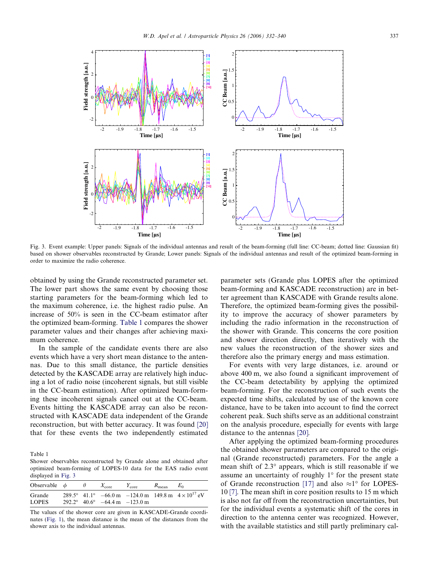<span id="page-5-0"></span>

Fig. 3. Event example: Upper panels: Signals of the individual antennas and result of the beam-forming (full line: CC-beam; dotted line: Gaussian fit) based on shower observables reconstructed by Grande; Lower panels: Signals of the individual antennas and result of the optimized beam-forming in order to maximize the radio coherence.

obtained by using the Grande reconstructed parameter set. The lower part shows the same event by choosing those starting parameters for the beam-forming which led to the maximum coherence, i.e. the highest radio pulse. An increase of 50% is seen in the CC-beam estimator after the optimized beam-forming. Table 1 compares the shower parameter values and their changes after achieving maximum coherence.

In the sample of the candidate events there are also events which have a very short mean distance to the antennas. Due to this small distance, the particle densities detected by the KASCADE array are relatively high inducing a lot of radio noise (incoherent signals, but still visible in the CC-beam estimation). After optimized beam-forming these incoherent signals cancel out at the CC-beam. Events hitting the KASCADE array can also be reconstructed with KASCADE data independent of the Grande reconstruction, but with better accuracy. It was found [\[20\]](#page-8-0) that for these events the two independently estimated

Table 1

Shower observables reconstructed by Grande alone and obtained after optimized beam-forming of LOPES-10 data for the EAS radio event displayed in Fig. 3

| Observable $\phi$ $\theta$ $X_{\text{core}}$ $Y_{\text{core}}$ $R_{\text{mean}}$ $E_0$ |  |                                                  |                                                                          |
|----------------------------------------------------------------------------------------|--|--------------------------------------------------|--------------------------------------------------------------------------|
| Grande                                                                                 |  |                                                  | $289.5^{\circ}$ 41.1° $-66.0$ m $-124.0$ m 149.8 m $4 \times 10^{17}$ eV |
| <b>LOPES</b>                                                                           |  | $292.2^{\circ}$ 40.6° $-64.4 \text{ m}$ -123.0 m |                                                                          |

The values of the shower core are given in KASCADE-Grande coordinates ([Fig. 1\)](#page-2-0), the mean distance is the mean of the distances from the shower axis to the individual antennas.

parameter sets (Grande plus LOPES after the optimized beam-forming and KASCADE reconstruction) are in better agreement than KASCADE with Grande results alone. Therefore, the optimized beam-forming gives the possibility to improve the accuracy of shower parameters by including the radio information in the reconstruction of the shower with Grande. This concerns the core position and shower direction directly, then iteratively with the new values the reconstruction of the shower sizes and therefore also the primary energy and mass estimation.

For events with very large distances, i.e. around or above 400 m, we also found a significant improvement of the CC-beam detectability by applying the optimized beam-forming. For the reconstruction of such events the expected time shifts, calculated by use of the known core distance, have to be taken into account to find the correct coherent peak. Such shifts serve as an additional constraint on the analysis procedure, especially for events with large distance to the antennas [\[20\].](#page-8-0)

After applying the optimized beam-forming procedures the obtained shower parameters are compared to the original (Grande reconstructed) parameters. For the angle a mean shift of  $2.3^\circ$  appears, which is still reasonable if we assume an uncertainty of roughly  $1^\circ$  for the present state of Grande reconstruction [\[17\]](#page-8-0) and also  $\approx$ 1° for LOPES-10 [\[7\]](#page-8-0). The mean shift in core position results to 15 m which is also not far off from the reconstruction uncertainties, but for the individual events a systematic shift of the cores in direction to the antenna center was recognized. However, with the available statistics and still partly preliminary cal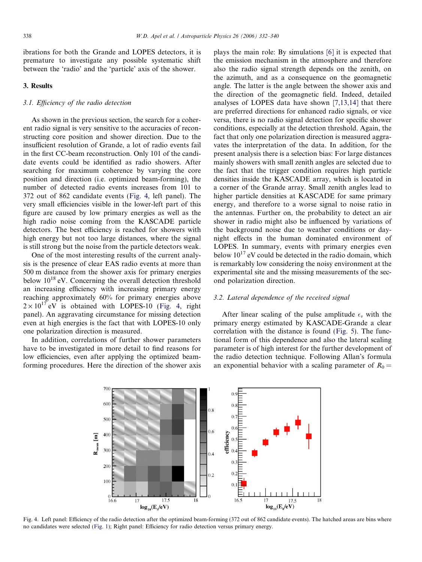ibrations for both the Grande and LOPES detectors, it is premature to investigate any possible systematic shift between the 'radio' and the 'particle' axis of the shower.

#### 3. Results

# 3.1. Efficiency of the radio detection

As shown in the previous section, the search for a coherent radio signal is very sensitive to the accuracies of reconstructing core position and shower direction. Due to the insufficient resolution of Grande, a lot of radio events fail in the first CC-beam reconstruction. Only 101 of the candidate events could be identified as radio showers. After searching for maximum coherence by varying the core position and direction (i.e. optimized beam-forming), the number of detected radio events increases from 101 to 372 out of 862 candidate events (Fig. 4, left panel). The very small efficiencies visible in the lower-left part of this figure are caused by low primary energies as well as the high radio noise coming from the KASCADE particle detectors. The best efficiency is reached for showers with high energy but not too large distances, where the signal is still strong but the noise from the particle detectors weak.

One of the most interesting results of the current analysis is the presence of clear EAS radio events at more than 500 m distance from the shower axis for primary energies below  $10^{18}$  eV. Concerning the overall detection threshold an increasing efficiency with increasing primary energy reaching approximately 60% for primary energies above  $2 \times 10^{17}$  eV is obtained with LOPES-10 (Fig. 4, right panel). An aggravating circumstance for missing detection even at high energies is the fact that with LOPES-10 only one polarization direction is measured.

In addition, correlations of further shower parameters have to be investigated in more detail to find reasons for low efficiencies, even after applying the optimized beamforming procedures. Here the direction of the shower axis plays the main role: By simulations [\[6\]](#page-8-0) it is expected that the emission mechanism in the atmosphere and therefore also the radio signal strength depends on the zenith, on the azimuth, and as a consequence on the geomagnetic angle. The latter is the angle between the shower axis and the direction of the geomagnetic field. Indeed, detailed analyses of LOPES data have shown [\[7,13,14\]](#page-8-0) that there are preferred directions for enhanced radio signals, or vice versa, there is no radio signal detection for specific shower conditions, especially at the detection threshold. Again, the fact that only one polarization direction is measured aggravates the interpretation of the data. In addition, for the present analysis there is a selection bias: For large distances mainly showers with small zenith angles are selected due to the fact that the trigger condition requires high particle densities inside the KASCADE array, which is located in a corner of the Grande array. Small zenith angles lead to higher particle densities at KASCADE for same primary energy, and therefore to a worse signal to noise ratio in the antennas. Further on, the probability to detect an air shower in radio might also be influenced by variations of the background noise due to weather conditions or daynight effects in the human dominated environment of LOPES. In summary, events with primary energies even below  $10^{17}$  eV could be detected in the radio domain, which is remarkably low considering the noisy environment at the experimental site and the missing measurements of the second polarization direction.

# 3.2. Lateral dependence of the received signal

After linear scaling of the pulse amplitude  $\epsilon$ <sub>v</sub> with the primary energy estimated by KASCADE-Grande a clear correlation with the distance is found [\(Fig. 5](#page-7-0)). The functional form of this dependence and also the lateral scaling parameter is of high interest for the further development of the radio detection technique. Following Allan's formula an exponential behavior with a scaling parameter of  $R_0 =$ 



Fig. 4. Left panel: Efficiency of the radio detection after the optimized beam-forming (372 out of 862 candidate events). The hatched areas are bins where no candidates were selected ([Fig. 1\)](#page-2-0); Right panel: Efficiency for radio detection versus primary energy.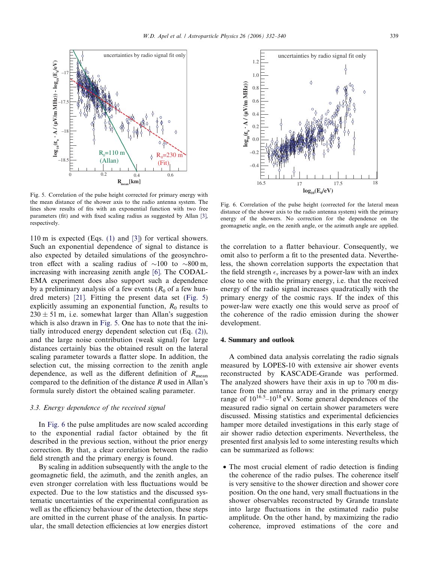<span id="page-7-0"></span>

Fig. 5. Correlation of the pulse height corrected for primary energy with the mean distance of the shower axis to the radio antenna system. The lines show results of fits with an exponential function with two free parameters (fit) and with fixed scaling radius as suggested by Allan [\[3\]](#page-8-0), respectively.

110 m is expected (Eqs. [\(1\)](#page-2-0) and [\[3\]\)](#page-8-0) for vertical showers. Such an exponential dependence of signal to distance is also expected by detailed simulations of the geosynchrotron effect with a scaling radius of  $\sim 100$  to  $\sim 800$  m, increasing with increasing zenith angle [\[6\].](#page-8-0) The CODAL-EMA experiment does also support such a dependence by a preliminary analysis of a few events ( $R_0$  of a few hundred meters) [\[21\].](#page-8-0) Fitting the present data set (Fig. 5) explicitly assuming an exponential function,  $R_0$  results to  $230 \pm 51$  m, i.e. somewhat larger than Allan's suggestion which is also drawn in Fig. 5. One has to note that the initially introduced energy dependent selection cut (Eq. [\(2\)\)](#page-2-0), and the large noise contribution (weak signal) for large distances certainly bias the obtained result on the lateral scaling parameter towards a flatter slope. In addition, the selection cut, the missing correction to the zenith angle dependence, as well as the different definition of  $R_{\text{mean}}$ compared to the definition of the distance R used in Allan's formula surely distort the obtained scaling parameter.

### 3.3. Energy dependence of the received signal

In Fig. 6 the pulse amplitudes are now scaled according to the exponential radial factor obtained by the fit described in the previous section, without the prior energy correction. By that, a clear correlation between the radio field strength and the primary energy is found.

By scaling in addition subsequently with the angle to the geomagnetic field, the azimuth, and the zenith angles, an even stronger correlation with less fluctuations would be expected. Due to the low statistics and the discussed systematic uncertainties of the experimental configuration as well as the efficiency behaviour of the detection, these steps are omitted in the current phase of the analysis. In particular, the small detection efficiencies at low energies distort



Fig. 6. Correlation of the pulse height (corrected for the lateral mean distance of the shower axis to the radio antenna system) with the primary energy of the showers. No correction for the dependence on the geomagnetic angle, on the zenith angle, or the azimuth angle are applied.

the correlation to a flatter behaviour. Consequently, we omit also to perform a fit to the presented data. Nevertheless, the shown correlation supports the expectation that the field strength  $\epsilon_{v}$  increases by a power-law with an index close to one with the primary energy, i.e. that the received energy of the radio signal increases quadratically with the primary energy of the cosmic rays. If the index of this power-law were exactly one this would serve as proof of the coherence of the radio emission during the shower development.

## 4. Summary and outlook

A combined data analysis correlating the radio signals measured by LOPES-10 with extensive air shower events reconstructed by KASCADE-Grande was performed. The analyzed showers have their axis in up to 700 m distance from the antenna array and in the primary energy range of  $10^{16.5}$ - $10^{18}$  eV. Some general dependences of the measured radio signal on certain shower parameters were discussed. Missing statistics and experimental deficiencies hamper more detailed investigations in this early stage of air shower radio detection experiments. Nevertheless, the presented first analysis led to some interesting results which can be summarized as follows:

• The most crucial element of radio detection is finding the coherence of the radio pulses. The coherence itself is very sensitive to the shower direction and shower core position. On the one hand, very small fluctuations in the shower observables reconstructed by Grande translate into large fluctuations in the estimated radio pulse amplitude. On the other hand, by maximizing the radio coherence, improved estimations of the core and